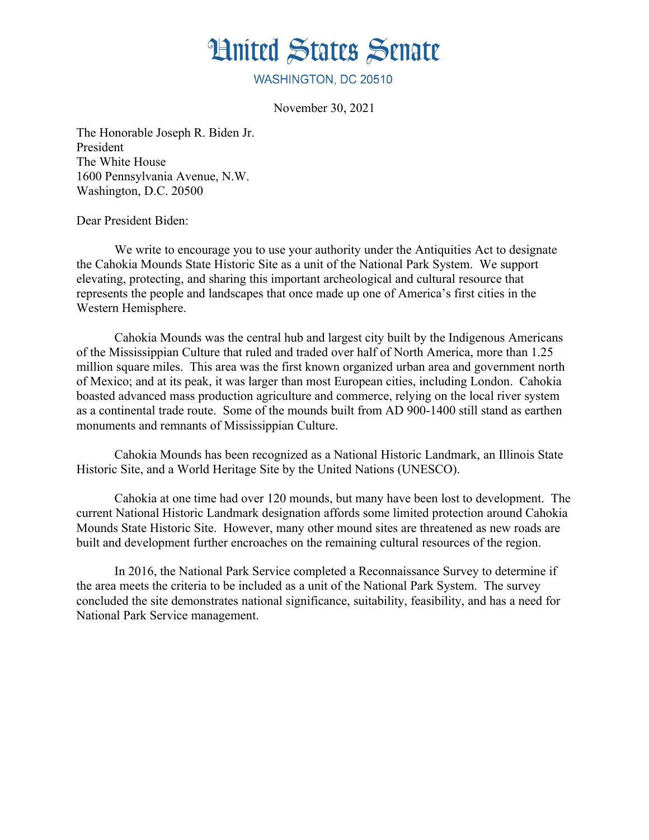

WASHINGTON, DC 20510

November 30, 2021

The Honorable Joseph R. Biden Jr. President The White House 1600 Pennsylvania Avenue, N.W. Washington, D.C. 20500

Dear President Biden:

We write to encourage you to use your authority under the Antiquities Act to designate the Cahokia Mounds State Historic Site as a unit of the National Park System. We support elevating, protecting, and sharing this important archeological and cultural resource that represents the people and landscapes that once made up one of America's first cities in the Western Hemisphere.

Cahokia Mounds was the central hub and largest city built by the Indigenous Americans of the Mississippian Culture that ruled and traded over half of North America, more than 1.25 million square miles. This area was the first known organized urban area and government north of Mexico; and at its peak, it was larger than most European cities, including London. Cahokia boasted advanced mass production agriculture and commerce, relying on the local river system as a continental trade route. Some of the mounds built from AD 900-1400 still stand as earthen monuments and remnants of Mississippian Culture.

Cahokia Mounds has been recognized as a National Historic Landmark, an Illinois State Historic Site, and a World Heritage Site by the United Nations (UNESCO).

Cahokia at one time had over 120 mounds, but many have been lost to development. The current National Historic Landmark designation affords some limited protection around Cahokia Mounds State Historic Site. However, many other mound sites are threatened as new roads are built and development further encroaches on the remaining cultural resources of the region.

In 2016, the National Park Service completed a Reconnaissance Survey to determine if the area meets the criteria to be included as a unit of the National Park System. The survey concluded the site demonstrates national significance, suitability, feasibility, and has a need for National Park Service management.